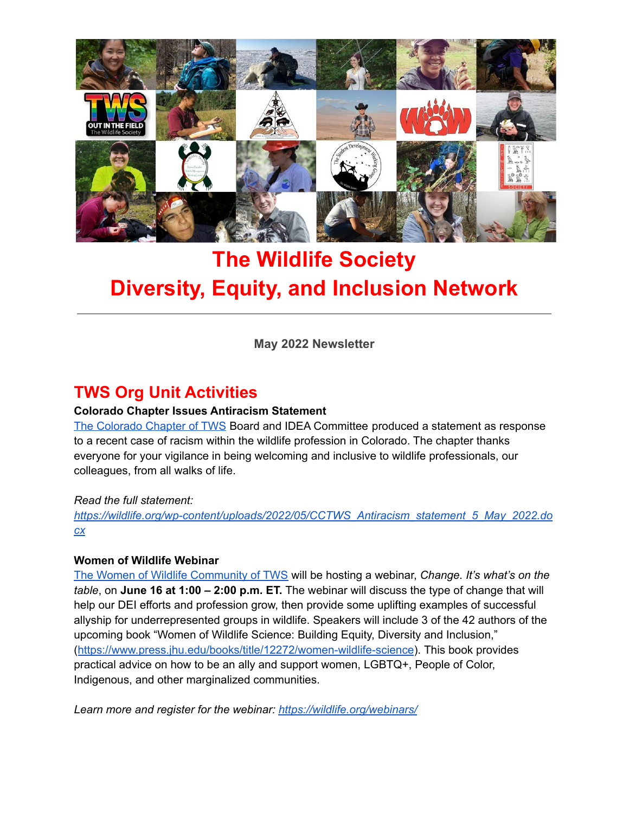

# **The Wildlife Society Diversity, Equity, and Inclusion Network**

**May 2022 Newsletter**

# **TWS Org Unit Activities**

### **Colorado Chapter Issues Antiracism Statement**

The [Colorado](https://wildlife.org/colorado/) Chapter of TWS Board and IDEA Committee produced a statement as response to a recent case of racism within the wildlife profession in Colorado. The chapter thanks everyone for your vigilance in being welcoming and inclusive to wildlife professionals, our colleagues, from all walks of life.

### *Read the full statement:*

*[https://wildlife.org/wp-content/uploads/2022/05/CCTWS\\_Antiracism\\_statement\\_5\\_May\\_2022.do](https://wildlife.org/wp-content/uploads/2022/05/CCTWS_Antiracism_statement_5_May_2022.docx) [cx](https://wildlife.org/wp-content/uploads/2022/05/CCTWS_Antiracism_statement_5_May_2022.docx)*

### **Women of Wildlife Webinar**

The Women of Wildlife [Community](https://wildlife.org/wow/) of TWS will be hosting a webinar, *Change. It's what's on the table*, on **June 16 at 1:00 – 2:00 p.m. ET.** The webinar will discuss the type of change that will help our DEI efforts and profession grow, then provide some uplifting examples of successful allyship for underrepresented groups in wildlife. Speakers will include 3 of the 42 authors of the upcoming book "Women of Wildlife Science: Building Equity, Diversity and Inclusion," (<https://www.press.jhu.edu/books/title/12272/women-wildlife-science>). This book provides practical advice on how to be an ally and support women, LGBTQ+, People of Color, Indigenous, and other marginalized communities.

*Learn more and register for the webinar: <https://wildlife.org/webinars/>*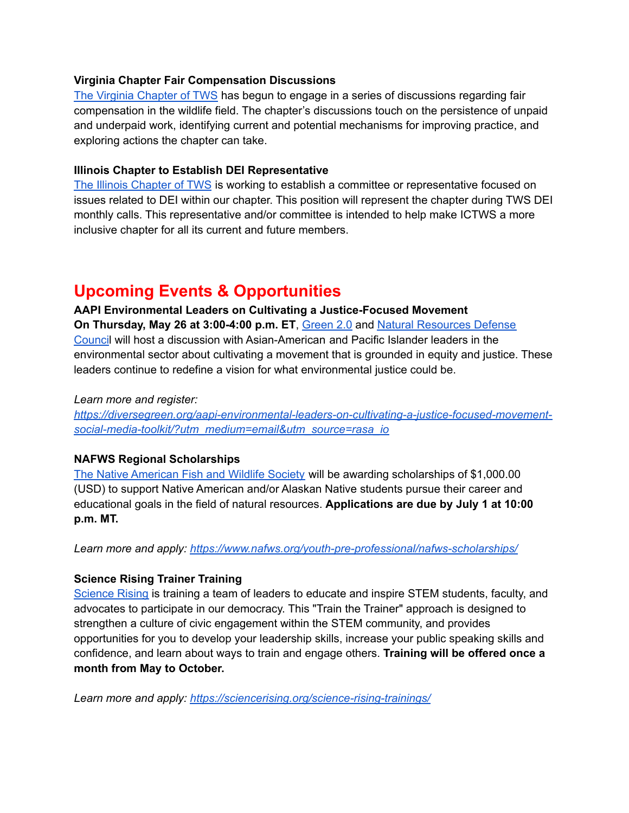### **Virginia Chapter Fair Compensation Discussions**

The Virginia [Chapter](https://wildlife.org/virginia-chapter/) of TWS has begun to engage in a series of discussions regarding fair compensation in the wildlife field. The chapter's discussions touch on the persistence of unpaid and underpaid work, identifying current and potential mechanisms for improving practice, and exploring actions the chapter can take.

### **Illinois Chapter to Establish DEI Representative**

The Illinois [Chapter](https://wildlife.org/illinois-chapter/) of TWS is working to establish a committee or representative focused on issues related to DEI within our chapter. This position will represent the chapter during TWS DEI monthly calls. This representative and/or committee is intended to help make ICTWS a more inclusive chapter for all its current and future members.

# **Upcoming Events & Opportunities**

#### **AAPI Environmental Leaders on Cultivating a Justice-Focused Movement**

**On Thursday, May 26 at 3:00-4:00 p.m. ET**, [Green](https://diversegreen.org/) 2.0 and Natural [Resources](https://www.nrdc.org/) Defense [Counci](https://www.nrdc.org/)l will host a discussion with Asian-American and Pacific Islander leaders in the environmental sector about cultivating a movement that is grounded in equity and justice. These leaders continue to redefine a vision for what environmental justice could be.

#### *Learn more and register:*

*[https://diversegreen.org/aapi-environmental-leaders-on-cultivating-a-justice-focused-movement](https://diversegreen.org/aapi-environmental-leaders-on-cultivating-a-justice-focused-movement-social-media-toolkit/?utm_medium=email&utm_source=rasa_io)[social-media-toolkit/?utm\\_medium=email&utm\\_source=rasa\\_io](https://diversegreen.org/aapi-environmental-leaders-on-cultivating-a-justice-focused-movement-social-media-toolkit/?utm_medium=email&utm_source=rasa_io)*

### **NAFWS Regional Scholarships**

The Native [American](https://www.nafws.org/) Fish and Wildlife Society will be awarding scholarships of \$1,000.00 (USD) to support Native American and/or Alaskan Native students pursue their career and educational goals in the field of natural resources. **Applications are due by July 1 at 10:00 p.m. MT.**

*Learn more and apply: <https://www.nafws.org/youth-pre-professional/nafws-scholarships/>*

### **Science Rising Trainer Training**

[Science](https://sciencerising.org/) Rising is training a team of leaders to educate and inspire STEM students, faculty, and advocates to participate in our democracy. This "Train the Trainer" approach is designed to strengthen a culture of civic engagement within the STEM community, and provides opportunities for you to develop your leadership skills, increase your public speaking skills and confidence, and learn about ways to train and engage others. **Training will be offered once a month from May to October.**

*Learn more and apply: <https://sciencerising.org/science-rising-trainings/>*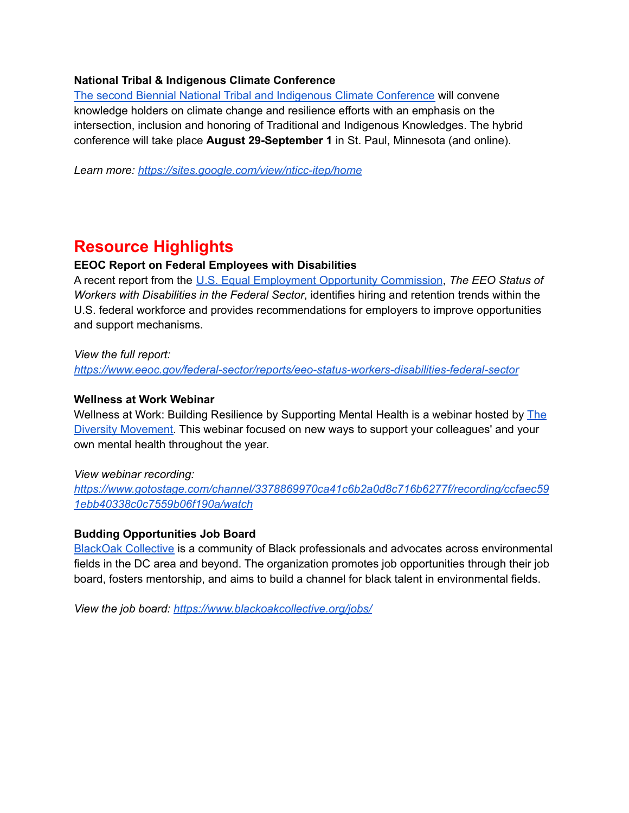### **National Tribal & Indigenous Climate Conference**

The second Biennial National Tribal and Indigenous Climate [Conference](https://sites.google.com/view/nticc-itep/home) will convene knowledge holders on climate change and resilience efforts with an emphasis on the intersection, inclusion and honoring of Traditional and Indigenous Knowledges. The hybrid conference will take place **August 29-September 1** in St. Paul, Minnesota (and online).

*Learn more: <https://sites.google.com/view/nticc-itep/home>*

# **Resource Highlights**

### **EEOC Report on Federal Employees with Disabilities**

A recent report from the U.S. Equal [Employment](https://www.eeoc.gov/) Opportunity Commission, *The EEO Status of Workers with Disabilities in the Federal Sector*, identifies hiring and retention trends within the U.S. federal workforce and provides recommendations for employers to improve opportunities and support mechanisms.

#### *View the full report:*

*<https://www.eeoc.gov/federal-sector/reports/eeo-status-workers-disabilities-federal-sector>*

#### **Wellness at Work Webinar**

Wellness at Work: Building Resilience by Supporting Mental Health is a webinar hosted by [The](https://thediversitymovement.com/) Diversity [Movement.](https://thediversitymovement.com/) This webinar focused on new ways to support your colleagues' and your own mental health throughout the year.

#### *View webinar recording:*

*[https://www.gotostage.com/channel/3378869970ca41c6b2a0d8c716b6277f/recording/ccfaec59](https://www.gotostage.com/channel/3378869970ca41c6b2a0d8c716b6277f/recording/ccfaec591ebb40338c0c7559b06f190a/watch) [1ebb40338c0c7559b06f190a/watch](https://www.gotostage.com/channel/3378869970ca41c6b2a0d8c716b6277f/recording/ccfaec591ebb40338c0c7559b06f190a/watch)*

### **Budding Opportunities Job Board**

BlackOak [Collective](https://www.blackoakcollective.org/) is a community of Black professionals and advocates across environmental fields in the DC area and beyond. The organization promotes job opportunities through their job board, fosters mentorship, and aims to build a channel for black talent in environmental fields.

*View the job board: <https://www.blackoakcollective.org/jobs/>*